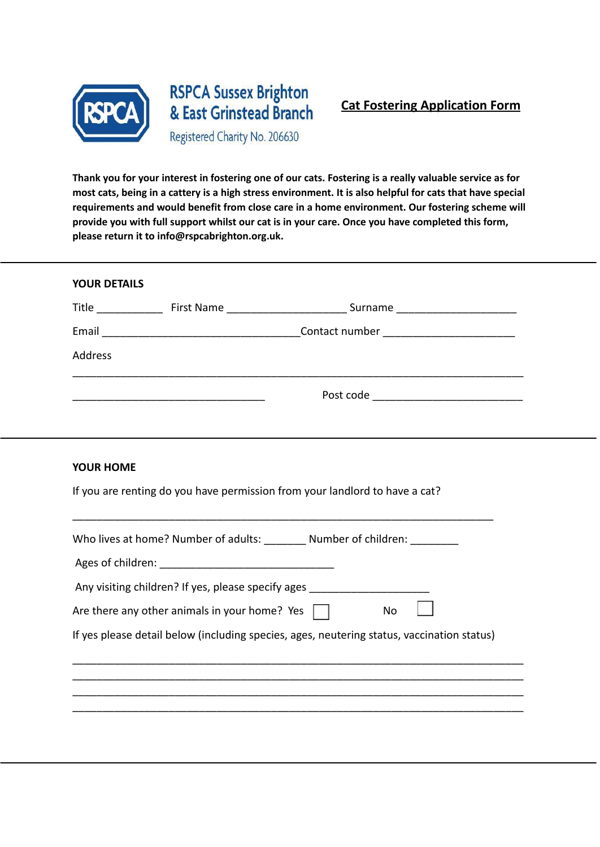

## **RSPCA Sussex Brighton** & East Grinstead Branch

Registered Charity No. 206630

Thank you for your interest in fostering one of our cats. Fostering is a really valuable service as for most cats, being in a cattery is a high stress environment. It is also helpful for cats that have special **requirements and would benefit from close care in a home environment. Our fostering scheme will provide you with full support whilst our cat is in your care. Once you have completed this form, please return it to info@rspcabrighton.org.uk.**

| <b>YOUR DETAILS</b>                                                              |  |                                                                                            |  |  |
|----------------------------------------------------------------------------------|--|--------------------------------------------------------------------------------------------|--|--|
|                                                                                  |  |                                                                                            |  |  |
|                                                                                  |  |                                                                                            |  |  |
| Address                                                                          |  |                                                                                            |  |  |
|                                                                                  |  |                                                                                            |  |  |
|                                                                                  |  |                                                                                            |  |  |
| <b>YOUR HOME</b>                                                                 |  |                                                                                            |  |  |
| If you are renting do you have permission from your landlord to have a cat?      |  |                                                                                            |  |  |
| Who lives at home? Number of adults: _________ Number of children: ________      |  |                                                                                            |  |  |
|                                                                                  |  |                                                                                            |  |  |
| Any visiting children? If yes, please specify ages _____________________________ |  |                                                                                            |  |  |
| Are there any other animals in your home? Yes<br>No                              |  |                                                                                            |  |  |
|                                                                                  |  | If yes please detail below (including species, ages, neutering status, vaccination status) |  |  |
|                                                                                  |  |                                                                                            |  |  |
|                                                                                  |  |                                                                                            |  |  |

\_\_\_\_\_\_\_\_\_\_\_\_\_\_\_\_\_\_\_\_\_\_\_\_\_\_\_\_\_\_\_\_\_\_\_\_\_\_\_\_\_\_\_\_\_\_\_\_\_\_\_\_\_\_\_\_\_\_\_\_\_\_\_\_\_\_\_\_\_\_\_\_\_\_\_ \_\_\_\_\_\_\_\_\_\_\_\_\_\_\_\_\_\_\_\_\_\_\_\_\_\_\_\_\_\_\_\_\_\_\_\_\_\_\_\_\_\_\_\_\_\_\_\_\_\_\_\_\_\_\_\_\_\_\_\_\_\_\_\_\_\_\_\_\_\_\_\_\_\_\_